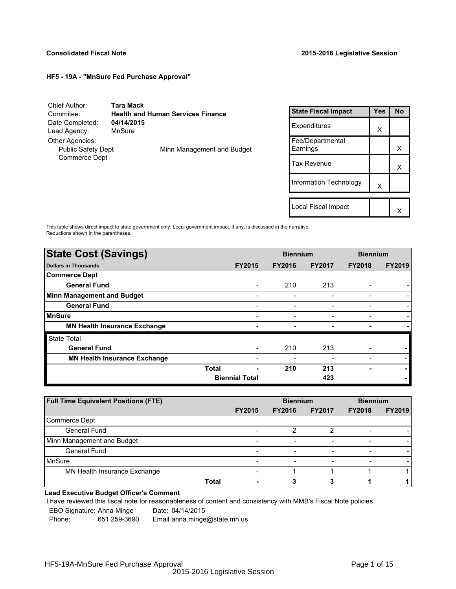Local Fiscal Impact  $\begin{array}{|c|c|c|}\n\hline\n\downarrow & \times\n\end{array}$ 

## **HF5 - 19A - "MnSure Fed Purchase Approval"**

| Chief Author:                                | Tara Mack            |                                          | <b>State Fiscal Impact</b>   | <b>Yes</b> | <b>No</b> |
|----------------------------------------------|----------------------|------------------------------------------|------------------------------|------------|-----------|
| Commitee:<br>Date Completed:<br>Lead Agency: | 04/14/2015<br>MnSure | <b>Health and Human Services Finance</b> | Expenditures                 | X          |           |
| Other Agencies:<br><b>Public Safety Dept</b> |                      | Minn Management and Budget               | Fee/Departmental<br>Earnings |            | X         |
| Commerce Dept                                |                      |                                          | <b>Tax Revenue</b>           |            | X         |
|                                              |                      |                                          | Information Technology       | X          |           |
|                                              |                      |                                          |                              |            |           |

This table shows direct impact to state government only. Local government impact. if any, is discussed in the narrative. Reductions shown in the parentheses.

| <b>State Cost (Savings)</b>         |                          |               | <b>Biennium</b> |                          | <b>Biennium</b> |
|-------------------------------------|--------------------------|---------------|-----------------|--------------------------|-----------------|
| <b>Dollars in Thousands</b>         | <b>FY2015</b>            | <b>FY2016</b> | <b>FY2017</b>   | <b>FY2018</b>            | <b>FY2019</b>   |
| <b>Commerce Dept</b>                |                          |               |                 |                          |                 |
| <b>General Fund</b>                 | $\overline{\phantom{a}}$ | 210           | 213             |                          |                 |
| <b>Minn Management and Budget</b>   | $\overline{\phantom{0}}$ |               |                 |                          |                 |
| <b>General Fund</b>                 | $\overline{\phantom{0}}$ |               |                 | $\overline{\phantom{0}}$ |                 |
| <b>MnSure</b>                       |                          |               |                 |                          |                 |
| <b>MN Health Insurance Exchange</b> |                          |               |                 | ۰                        |                 |
| <b>State Total</b>                  |                          |               |                 |                          |                 |
| <b>General Fund</b>                 | $\overline{\phantom{0}}$ | 210           | 213             | $\overline{\phantom{a}}$ |                 |
| <b>MN Health Insurance Exchange</b> |                          |               |                 |                          |                 |
|                                     | <b>Total</b><br>۰        | 210           | 213             | ٠                        |                 |
|                                     | <b>Biennial Total</b>    |               | 423             |                          |                 |

| <b>Full Time Equivalent Positions (FTE)</b> |                          | <b>Biennium</b>          |                          | <b>Biennium</b>          |               |
|---------------------------------------------|--------------------------|--------------------------|--------------------------|--------------------------|---------------|
|                                             | <b>FY2015</b>            | <b>FY2016</b>            | <b>FY2017</b>            | <b>FY2018</b>            | <b>FY2019</b> |
| Commerce Dept                               |                          |                          |                          |                          |               |
| General Fund                                |                          |                          | ົ                        | $\overline{\phantom{0}}$ |               |
| Minn Management and Budget                  | $\overline{\phantom{a}}$ | -                        | $\overline{\phantom{a}}$ | $\overline{\phantom{a}}$ |               |
| General Fund                                | $\overline{\phantom{a}}$ | -                        | $\overline{\phantom{a}}$ | $\overline{\phantom{a}}$ |               |
| MnSure                                      | $\overline{\phantom{a}}$ | $\overline{\phantom{0}}$ | $\overline{\phantom{a}}$ | $\overline{\phantom{a}}$ |               |
| MN Health Insurance Exchange                | $\overline{\phantom{a}}$ |                          |                          |                          |               |
|                                             | <b>Total</b><br>٠        | 3                        | 3                        |                          |               |

## **Lead Executive Budget Officer's Comment**

-

I have reviewed this fiscal note for reasonableness of content and consistency with MMB's Fiscal Note policies. EBO Signature: Ahna Minge Date: 04/14/2015

Phone: 651 259-3690 Email ahna.minge@state.mn.us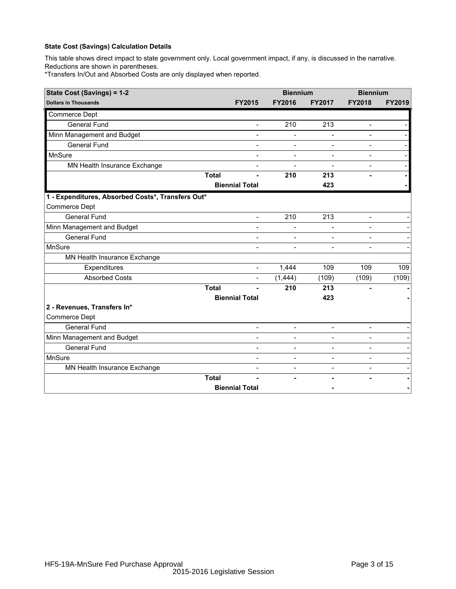This table shows direct impact to state government only. Local government impact, if any, is discussed in the narrative. Reductions are shown in parentheses.

\*Transfers In/Out and Absorbed Costs are only displayed when reported.

| State Cost (Savings) = 1-2                        |              |                       | <b>Biennium</b>          |                          | <b>Biennium</b>          |        |
|---------------------------------------------------|--------------|-----------------------|--------------------------|--------------------------|--------------------------|--------|
| <b>Dollars in Thousands</b>                       |              | <b>FY2015</b>         | FY2016                   | <b>FY2017</b>            | <b>FY2018</b>            | FY2019 |
| Commerce Dept                                     |              |                       |                          |                          |                          |        |
| <b>General Fund</b>                               |              |                       | 210                      | 213                      | $\overline{\phantom{a}}$ |        |
| Minn Management and Budget                        |              | $\overline{a}$        | $\overline{a}$           | $\overline{a}$           | $\overline{a}$           |        |
| <b>General Fund</b>                               |              |                       | $\overline{\phantom{0}}$ | $\overline{\phantom{a}}$ | $\overline{\phantom{a}}$ |        |
| <b>MnSure</b>                                     |              | $\overline{a}$        | $\blacksquare$           | $\overline{\phantom{a}}$ | $\overline{\phantom{a}}$ |        |
| MN Health Insurance Exchange                      |              |                       |                          |                          | $\overline{a}$           |        |
|                                                   | <b>Total</b> |                       | 210                      | 213                      |                          |        |
|                                                   |              | <b>Biennial Total</b> |                          | 423                      |                          |        |
| 1 - Expenditures, Absorbed Costs*, Transfers Out* |              |                       |                          |                          |                          |        |
| Commerce Dept                                     |              |                       |                          |                          |                          |        |
| <b>General Fund</b>                               |              | $\blacksquare$        | 210                      | 213                      | $\blacksquare$           |        |
| Minn Management and Budget                        |              | $\overline{a}$        | $\overline{\phantom{a}}$ | $\overline{\phantom{a}}$ | $\blacksquare$           |        |
| <b>General Fund</b>                               |              |                       | $\overline{\phantom{0}}$ | $\blacksquare$           | $\overline{a}$           |        |
| MnSure                                            |              |                       |                          | $\overline{\phantom{a}}$ | $\overline{a}$           |        |
| MN Health Insurance Exchange                      |              |                       |                          |                          |                          |        |
| Expenditures                                      |              | $\overline{a}$        | 1,444                    | 109                      | 109                      | 109    |
| <b>Absorbed Costs</b>                             |              | $\overline{a}$        | (1,444)                  | (109)                    | (109)                    | (109)  |
|                                                   | <b>Total</b> |                       | 210                      | 213                      |                          |        |
|                                                   |              | <b>Biennial Total</b> |                          | 423                      |                          |        |
| 2 - Revenues, Transfers In*                       |              |                       |                          |                          |                          |        |
| Commerce Dept                                     |              |                       |                          |                          |                          |        |
| <b>General Fund</b>                               |              | $\overline{a}$        | $\overline{a}$           | $\blacksquare$           | $\overline{a}$           |        |
| Minn Management and Budget                        |              |                       | $\overline{\phantom{0}}$ | $\blacksquare$           | $\overline{a}$           |        |
| <b>General Fund</b>                               |              |                       | $\overline{a}$           | $\blacksquare$           | $\blacksquare$           |        |
| MnSure                                            |              | $\overline{a}$        | $\overline{\phantom{a}}$ | $\overline{\phantom{a}}$ | $\blacksquare$           |        |
| MN Health Insurance Exchange                      |              |                       | $\overline{a}$           | $\blacksquare$           | $\blacksquare$           |        |
|                                                   | <b>Total</b> |                       |                          |                          |                          |        |
|                                                   |              | <b>Biennial Total</b> |                          |                          |                          |        |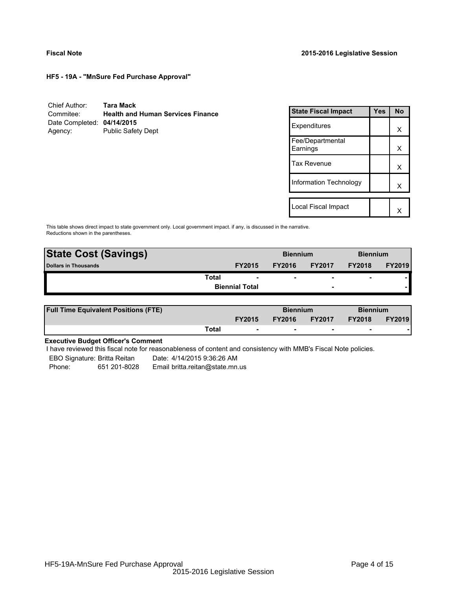| Chief Author:              | Tara Mack                                |
|----------------------------|------------------------------------------|
| Commitee:                  | <b>Health and Human Services Finance</b> |
| Date Completed: 04/14/2015 |                                          |
| Agency:                    | <b>Public Safety Dept</b>                |

| <b>State Fiscal Impact</b>   | Yes | <b>No</b> |
|------------------------------|-----|-----------|
| Expenditures                 |     | x         |
| Fee/Departmental<br>Earnings |     | x         |
| <b>Tax Revenue</b>           |     | x         |
| Information Technology       |     | x         |
| Local Fiscal Impact          |     |           |
|                              |     |           |

This table shows direct impact to state government only. Local government impact. if any, is discussed in the narrative. Reductions shown in the parentheses.

| <b>State Cost (Savings)</b> |                       |               | <b>Biennium</b>          |                          | <b>Biennium</b> |  |
|-----------------------------|-----------------------|---------------|--------------------------|--------------------------|-----------------|--|
| <b>Dollars in Thousands</b> | <b>FY2015</b>         | <b>FY2016</b> | <b>FY2017</b>            | <b>FY2018</b>            | <b>FY2019</b>   |  |
| Total                       | ۰                     | ۰             | $\overline{\phantom{0}}$ | $\overline{\phantom{0}}$ |                 |  |
|                             | <b>Biennial Total</b> |               | -                        |                          |                 |  |
|                             |                       |               |                          |                          |                 |  |

| <b>Full Time Equivalent Positions (FTE)</b> |       |                          | <b>Biennium</b> |                          | <b>Biennium</b> |               |
|---------------------------------------------|-------|--------------------------|-----------------|--------------------------|-----------------|---------------|
|                                             |       | <b>FY2015</b>            | <b>FY2016</b>   | <b>FY2017</b>            | <b>FY2018</b>   | <b>FY2019</b> |
|                                             | Total | $\overline{\phantom{a}}$ | $\sim$          | $\overline{\phantom{a}}$ | $\sim$          |               |

# **Executive Budget Officer's Comment**

I have reviewed this fiscal note for reasonableness of content and consistency with MMB's Fiscal Note policies.

EBO Signature: Britta Reitan Date: 4/14/2015 9:36:26 AM Phone: 651 201-8028 Email britta.reitan@state.mn.us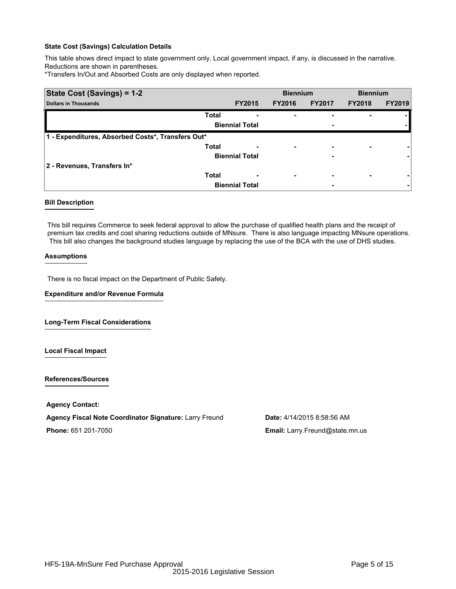This table shows direct impact to state government only. Local government impact, if any, is discussed in the narrative. Reductions are shown in parentheses.

\*Transfers In/Out and Absorbed Costs are only displayed when reported.

| State Cost (Savings) = 1-2                        |                       | <b>Biennium</b> |                          | <b>Biennium</b> |               |               |
|---------------------------------------------------|-----------------------|-----------------|--------------------------|-----------------|---------------|---------------|
| <b>Dollars in Thousands</b>                       |                       | <b>FY2015</b>   | <b>FY2016</b>            | <b>FY2017</b>   | <b>FY2018</b> | <b>FY2019</b> |
|                                                   | <b>Total</b>          |                 | ٠                        |                 |               |               |
|                                                   | <b>Biennial Total</b> |                 |                          | ٠               |               |               |
| 1 - Expenditures, Absorbed Costs*, Transfers Out* |                       |                 |                          |                 |               |               |
|                                                   | <b>Total</b>          |                 | $\overline{\phantom{0}}$ | -               |               |               |
|                                                   | <b>Biennial Total</b> |                 |                          | -               |               |               |
| 2 - Revenues, Transfers In*                       |                       |                 |                          |                 |               |               |
|                                                   | <b>Total</b>          |                 | $\overline{\phantom{0}}$ | ٠               |               |               |
|                                                   | <b>Biennial Total</b> |                 |                          | ٠               |               |               |

## **Bill Description**

This bill requires Commerce to seek federal approval to allow the purchase of qualified health plans and the receipt of premium tax credits and cost sharing reductions outside of MNsure. There is also language impacting MNsure operations. This bill also changes the background studies language by replacing the use of the BCA with the use of DHS studies.

### **Assumptions**

There is no fiscal impact on the Department of Public Safety.

**Expenditure and/or Revenue Formula**

**Long-Term Fiscal Considerations**

**Local Fiscal Impact**

**References/Sources**

**Agency Contact:**

**Agency Fiscal Note Coordinator Signature:** Larry Freund **Date:** 4/14/2015 8:58:56 AM **Phone:** 651 201-7050 **Email:** Larry.Freund@state.mn.us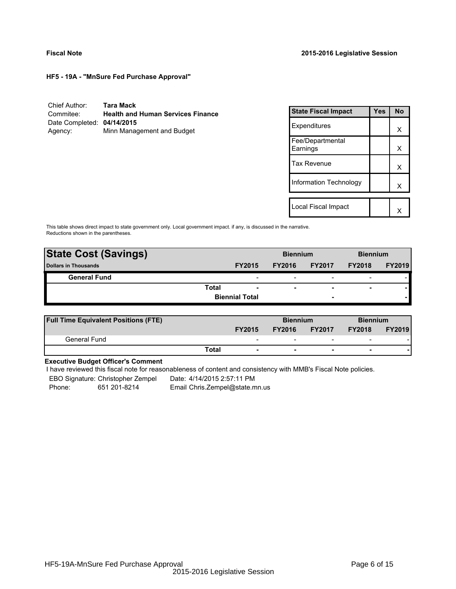| Chief Author:              | Tara Mack                                |
|----------------------------|------------------------------------------|
| Commitee:                  | <b>Health and Human Services Finance</b> |
| Date Completed: 04/14/2015 |                                          |
| Agency:                    | Minn Management and Budget               |

| <b>State Fiscal Impact</b>   | Yes | <b>No</b> |
|------------------------------|-----|-----------|
| Expenditures                 |     | x         |
| Fee/Departmental<br>Earnings |     | x         |
| <b>Tax Revenue</b>           |     | x         |
| Information Technology       |     | x         |
|                              |     |           |
| Local Fiscal Impact          |     |           |

This table shows direct impact to state government only. Local government impact. if any, is discussed in the narrative. Reductions shown in the parentheses.

| <b>State Cost (Savings)</b> |       |                          | <b>Biennium</b>          |                          | <b>Biennium</b>          |               |
|-----------------------------|-------|--------------------------|--------------------------|--------------------------|--------------------------|---------------|
| <b>Dollars in Thousands</b> |       | <b>FY2015</b>            | <b>FY2016</b>            | <b>FY2017</b>            | <b>FY2018</b>            | <b>FY2019</b> |
| <b>General Fund</b>         |       | $\overline{\phantom{0}}$ | $\overline{\phantom{0}}$ | $\overline{\phantom{0}}$ | $\overline{\phantom{0}}$ |               |
|                             | Total | $\overline{\phantom{a}}$ |                          | $\overline{\phantom{0}}$ | $\overline{\phantom{a}}$ |               |
|                             |       | <b>Biennial Total</b>    |                          |                          |                          |               |
|                             |       |                          |                          |                          |                          |               |

| <b>Full Time Equivalent Positions (FTE)</b> |       |                          | <b>Biennium</b> |                          | <b>Biennium</b>          |               |
|---------------------------------------------|-------|--------------------------|-----------------|--------------------------|--------------------------|---------------|
|                                             |       | <b>FY2015</b>            | <b>FY2016</b>   | <b>FY2017</b>            | <b>FY2018</b>            | <b>FY2019</b> |
| General Fund                                |       | $\overline{\phantom{0}}$ | -               | $\overline{\phantom{0}}$ | $\overline{\phantom{a}}$ |               |
|                                             | Total | -                        |                 | $\overline{\phantom{0}}$ | $\overline{\phantom{a}}$ |               |

# **Executive Budget Officer's Comment**

I have reviewed this fiscal note for reasonableness of content and consistency with MMB's Fiscal Note policies.

EBO Signature: Christopher Zempel Date: 4/14/2015 2:57:11 PM Phone: 651 201-8214 Email Chris.Zempel@state.mn.us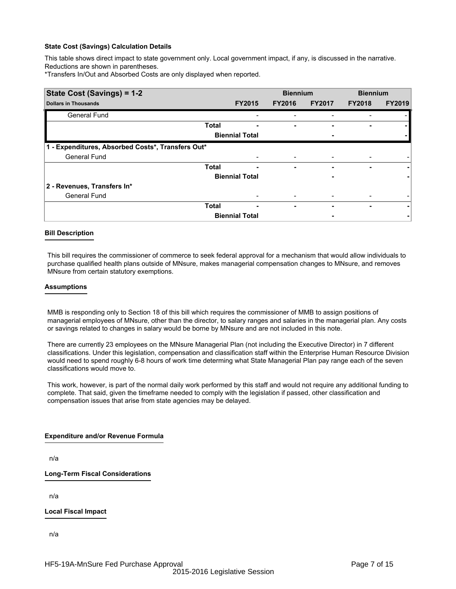This table shows direct impact to state government only. Local government impact, if any, is discussed in the narrative. Reductions are shown in parentheses.

\*Transfers In/Out and Absorbed Costs are only displayed when reported.

| State Cost (Savings) = 1-2                        |              |                       | <b>Biennium</b> |               | <b>Biennium</b> |               |
|---------------------------------------------------|--------------|-----------------------|-----------------|---------------|-----------------|---------------|
| <b>Dollars in Thousands</b>                       |              | <b>FY2015</b>         | <b>FY2016</b>   | <b>FY2017</b> | <b>FY2018</b>   | <b>FY2019</b> |
| <b>General Fund</b>                               |              |                       |                 |               |                 |               |
|                                                   | <b>Total</b> |                       |                 |               |                 |               |
|                                                   |              | <b>Biennial Total</b> |                 |               |                 |               |
| 1 - Expenditures, Absorbed Costs*, Transfers Out* |              |                       |                 |               |                 |               |
| General Fund                                      |              |                       |                 |               |                 |               |
|                                                   | <b>Total</b> | -                     | ۰               |               | ۰               |               |
|                                                   |              | <b>Biennial Total</b> |                 | ٠             |                 |               |
| 2 - Revenues, Transfers In*                       |              |                       |                 |               |                 |               |
| <b>General Fund</b>                               |              |                       |                 |               |                 |               |
|                                                   | <b>Total</b> | -                     | ۰               |               |                 |               |
|                                                   |              | <b>Biennial Total</b> |                 |               |                 |               |

## **Bill Description**

This bill requires the commissioner of commerce to seek federal approval for a mechanism that would allow individuals to purchase qualified health plans outside of MNsure, makes managerial compensation changes to MNsure, and removes MNsure from certain statutory exemptions.

### **Assumptions**

MMB is responding only to Section 18 of this bill which requires the commissioner of MMB to assign positions of managerial employees of MNsure, other than the director, to salary ranges and salaries in the managerial plan. Any costs or savings related to changes in salary would be borne by MNsure and are not included in this note.

There are currently 23 employees on the MNsure Managerial Plan (not including the Executive Director) in 7 different classifications. Under this legislation, compensation and classification staff within the Enterprise Human Resource Division would need to spend roughly 6-8 hours of work time determing what State Managerial Plan pay range each of the seven classifications would move to.

This work, however, is part of the normal daily work performed by this staff and would not require any additional funding to complete. That said, given the timeframe needed to comply with the legislation if passed, other classification and compensation issues that arise from state agencies may be delayed.

## **Expenditure and/or Revenue Formula**

n/a

**Long-Term Fiscal Considerations**

n/a

**Local Fiscal Impact**

n/a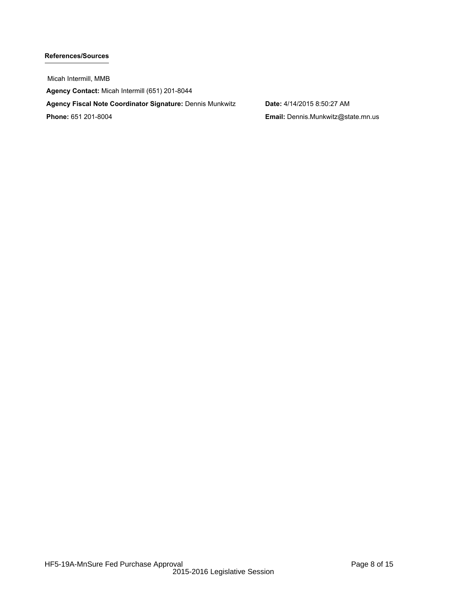## **References/Sources**

Micah Intermill, MMB **Agency Contact:** Micah Intermill (651) 201-8044 **Agency Fiscal Note Coordinator Signature:** Dennis Munkwitz **Date:** 4/14/2015 8:50:27 AM **Phone:** 651 201-8004 **Email:** Dennis.Munkwitz@state.mn.us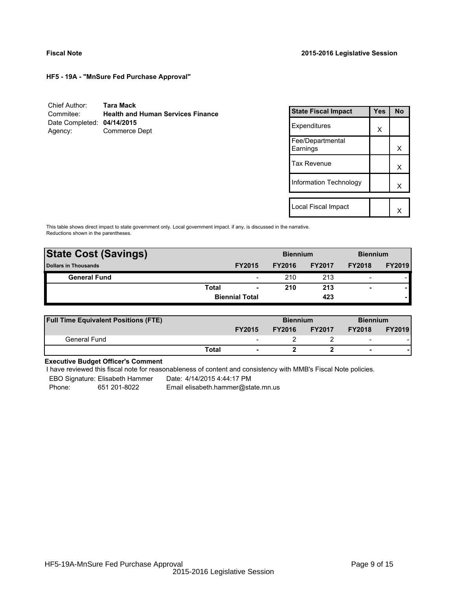| Chief Author:              | <b>Tara Mack</b>                         |
|----------------------------|------------------------------------------|
| Commitee:                  | <b>Health and Human Services Finance</b> |
| Date Completed: 04/14/2015 |                                          |
| Agency:                    | Commerce Dept                            |

| <b>State Fiscal Impact</b>   | Yes | <b>No</b> |
|------------------------------|-----|-----------|
| Expenditures                 | X   |           |
| Fee/Departmental<br>Earnings |     | х         |
| <b>Tax Revenue</b>           |     | x         |
| Information Technology       |     | x         |
|                              |     |           |
| Local Fiscal Impact          |     |           |

This table shows direct impact to state government only. Local government impact. if any, is discussed in the narrative. Reductions shown in the parentheses.

| <b>State Cost (Savings)</b> |       |                          | <b>Biennium</b> | <b>Biennium</b> |                          |               |
|-----------------------------|-------|--------------------------|-----------------|-----------------|--------------------------|---------------|
| <b>Dollars in Thousands</b> |       | <b>FY2015</b>            | <b>FY2016</b>   | <b>FY2017</b>   | <b>FY2018</b>            | <b>FY2019</b> |
| <b>General Fund</b>         |       | $\overline{\phantom{0}}$ | 210             | 213             | $\overline{\phantom{0}}$ |               |
|                             | Total | $\blacksquare$           | 210             | 213             | $\overline{\phantom{0}}$ |               |
|                             |       | <b>Biennial Total</b>    |                 | 423             |                          |               |
|                             |       |                          |                 |                 |                          |               |

| <b>Full Time Equivalent Positions (FTE)</b> |       |                          | <b>Biennium</b> |               |                          | <b>Biennium</b> |  |
|---------------------------------------------|-------|--------------------------|-----------------|---------------|--------------------------|-----------------|--|
|                                             |       | <b>FY2015</b>            | <b>FY2016</b>   | <b>FY2017</b> | <b>FY2018</b>            | <b>FY2019</b>   |  |
| General Fund                                |       | $\overline{\phantom{0}}$ |                 |               | $\overline{\phantom{0}}$ |                 |  |
|                                             | Total | $\blacksquare$           |                 |               | $\overline{\phantom{a}}$ |                 |  |

# **Executive Budget Officer's Comment**

I have reviewed this fiscal note for reasonableness of content and consistency with MMB's Fiscal Note policies.

EBO Signature: Elisabeth Hammer Date: 4/14/2015 4:44:17 PM

Phone: 651 201-8022 Email elisabeth.hammer@state.mn.us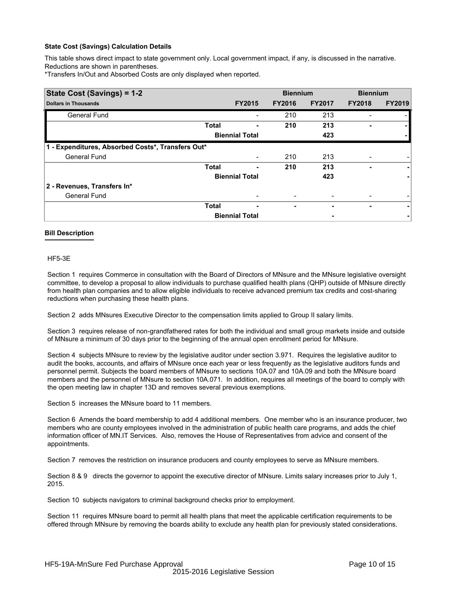This table shows direct impact to state government only. Local government impact, if any, is discussed in the narrative. Reductions are shown in parentheses.

\*Transfers In/Out and Absorbed Costs are only displayed when reported.

| State Cost (Savings) = 1-2                        |                       |               | <b>Biennium</b> |               | <b>Biennium</b>          |               |
|---------------------------------------------------|-----------------------|---------------|-----------------|---------------|--------------------------|---------------|
| <b>Dollars in Thousands</b>                       |                       | <b>FY2015</b> | <b>FY2016</b>   | <b>FY2017</b> | <b>FY2018</b>            | <b>FY2019</b> |
| <b>General Fund</b>                               |                       |               | 210             | 213           |                          |               |
|                                                   | <b>Total</b>          |               | 210             | 213           |                          |               |
|                                                   | <b>Biennial Total</b> |               |                 | 423           |                          |               |
| 1 - Expenditures, Absorbed Costs*, Transfers Out* |                       |               |                 |               |                          |               |
| <b>General Fund</b>                               |                       |               | 210             | 213           |                          |               |
|                                                   | <b>Total</b>          | ۰             | 210             | 213           | ۰                        |               |
|                                                   | <b>Biennial Total</b> |               |                 | 423           |                          |               |
| 2 - Revenues, Transfers In*                       |                       |               |                 |               |                          |               |
| <b>General Fund</b>                               |                       |               |                 |               |                          |               |
|                                                   | <b>Total</b>          | ٠             | ٠               |               | $\overline{\phantom{0}}$ |               |
|                                                   | <b>Biennial Total</b> |               |                 |               |                          |               |

## **Bill Description**

## HF5-3E

Section 1 requires Commerce in consultation with the Board of Directors of MNsure and the MNsure legislative oversight committee, to develop a proposal to allow individuals to purchase qualified health plans (QHP) outside of MNsure directly from health plan companies and to allow eligible individuals to receive advanced premium tax credits and cost-sharing reductions when purchasing these health plans.

Section 2 adds MNsures Executive Director to the compensation limits applied to Group II salary limits.

Section 3 requires release of non-grandfathered rates for both the individual and small group markets inside and outside of MNsure a minimum of 30 days prior to the beginning of the annual open enrollment period for MNsure.

Section 4 subjects MNsure to review by the legislative auditor under section 3.971. Requires the legislative auditor to audit the books, accounts, and affairs of MNsure once each year or less frequently as the legislative auditors funds and personnel permit. Subjects the board members of MNsure to sections 10A.07 and 10A.09 and both the MNsure board members and the personnel of MNsure to section 10A.071. In addition, requires all meetings of the board to comply with the open meeting law in chapter 13D and removes several previous exemptions.

Section 5 increases the MNsure board to 11 members.

Section 6 Amends the board membership to add 4 additional members. One member who is an insurance producer, two members who are county employees involved in the administration of public health care programs, and adds the chief information officer of MN.IT Services. Also, removes the House of Representatives from advice and consent of the appointments.

Section 7 removes the restriction on insurance producers and county employees to serve as MNsure members.

Section 8 & 9 directs the governor to appoint the executive director of MNsure. Limits salary increases prior to July 1, 2015.

Section 10 subjects navigators to criminal background checks prior to employment.

Section 11 requires MNsure board to permit all health plans that meet the applicable certification requirements to be offered through MNsure by removing the boards ability to exclude any health plan for previously stated considerations.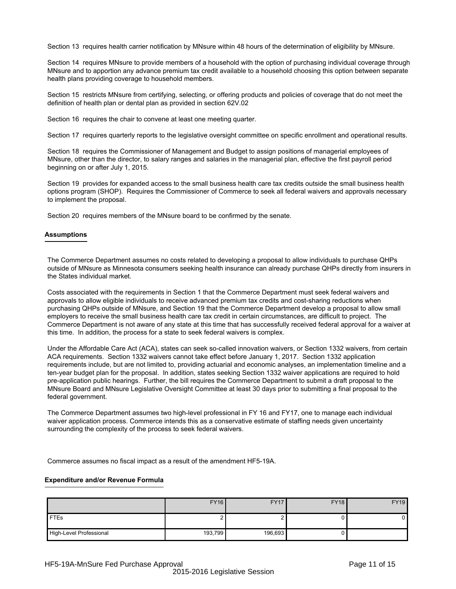Section 13 requires health carrier notification by MNsure within 48 hours of the determination of eligibility by MNsure.

Section 14 requires MNsure to provide members of a household with the option of purchasing individual coverage through MNsure and to apportion any advance premium tax credit available to a household choosing this option between separate health plans providing coverage to household members.

Section 15 restricts MNsure from certifying, selecting, or offering products and policies of coverage that do not meet the definition of health plan or dental plan as provided in section 62V.02

Section 16 requires the chair to convene at least one meeting quarter.

Section 17 requires quarterly reports to the legislative oversight committee on specific enrollment and operational results.

Section 18 requires the Commissioner of Management and Budget to assign positions of managerial employees of MNsure, other than the director, to salary ranges and salaries in the managerial plan, effective the first payroll period beginning on or after July 1, 2015.

Section 19 provides for expanded access to the small business health care tax credits outside the small business health options program (SHOP). Requires the Commissioner of Commerce to seek all federal waivers and approvals necessary to implement the proposal.

Section 20 requires members of the MNsure board to be confirmed by the senate.

### **Assumptions**

The Commerce Department assumes no costs related to developing a proposal to allow individuals to purchase QHPs outside of MNsure as Minnesota consumers seeking health insurance can already purchase QHPs directly from insurers in the States individual market.

Costs associated with the requirements in Section 1 that the Commerce Department must seek federal waivers and approvals to allow eligible individuals to receive advanced premium tax credits and cost-sharing reductions when purchasing QHPs outside of MNsure, and Section 19 that the Commerce Department develop a proposal to allow small employers to receive the small business health care tax credit in certain circumstances, are difficult to project. The Commerce Department is not aware of any state at this time that has successfully received federal approval for a waiver at this time. In addition, the process for a state to seek federal waivers is complex.

Under the Affordable Care Act (ACA), states can seek so-called innovation waivers, or Section 1332 waivers, from certain ACA requirements. Section 1332 waivers cannot take effect before January 1, 2017. Section 1332 application requirements include, but are not limited to, providing actuarial and economic analyses, an implementation timeline and a ten-year budget plan for the proposal. In addition, states seeking Section 1332 waiver applications are required to hold pre-application public hearings. Further, the bill requires the Commerce Department to submit a draft proposal to the MNsure Board and MNsure Legislative Oversight Committee at least 30 days prior to submitting a final proposal to the federal government.

The Commerce Department assumes two high-level professional in FY 16 and FY17, one to manage each individual waiver application process. Commerce intends this as a conservative estimate of staffing needs given uncertainty surrounding the complexity of the process to seek federal waivers.

Commerce assumes no fiscal impact as a result of the amendment HF5-19A.

#### **Expenditure and/or Revenue Formula**

|                         | <b>FY16</b> | <b>FY17</b> | <b>FY18</b> | <b>FY19</b> |
|-------------------------|-------------|-------------|-------------|-------------|
| <b>FTEs</b>             | <u>_</u>    |             |             |             |
| High-Level Professional | 193,799     | 196,693     |             |             |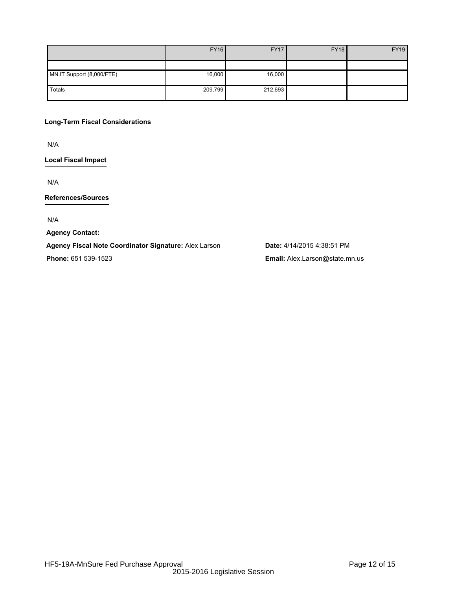|                           | <b>FY16</b> | <b>FY17</b> | <b>FY18</b> | <b>FY19</b> |
|---------------------------|-------------|-------------|-------------|-------------|
|                           |             |             |             |             |
| MN.IT Support (8,000/FTE) | 16,000      | 16,000      |             |             |
| Totals                    | 209,799     | 212,693     |             |             |

# **Long-Term Fiscal Considerations**

N/A

**Local Fiscal Impact**

N/A

## **References/Sources**

N/A

**Agency Contact:**

**Agency Fiscal Note Coordinator Signature:** Alex Larson **Date:** 4/14/2015 4:38:51 PM

**Phone:** 651 539-1523 **Email:** Alex.Larson@state.mn.us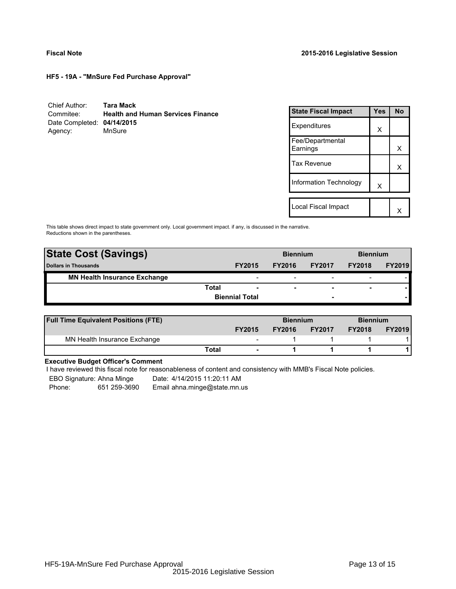| Chief Author:              | Tara Mack                                |
|----------------------------|------------------------------------------|
| Commitee:                  | <b>Health and Human Services Finance</b> |
| Date Completed: 04/14/2015 |                                          |
| Agency:                    | MnSure                                   |

| <b>State Fiscal Impact</b>   | Yes | <b>No</b> |
|------------------------------|-----|-----------|
| Expenditures                 | X   |           |
| Fee/Departmental<br>Earnings |     | x         |
| <b>Tax Revenue</b>           |     | x         |
| Information Technology       | X   |           |
| Local Fiscal Impact          |     |           |
|                              |     |           |

This table shows direct impact to state government only. Local government impact. if any, is discussed in the narrative. Reductions shown in the parentheses.

| <b>State Cost (Savings)</b>         |              |                          | <b>Biennium</b> |                          | <b>Biennium</b>          |               |
|-------------------------------------|--------------|--------------------------|-----------------|--------------------------|--------------------------|---------------|
| <b>Dollars in Thousands</b>         |              | <b>FY2015</b>            | <b>FY2016</b>   | <b>FY2017</b>            | <b>FY2018</b>            | <b>FY2019</b> |
| <b>MN Health Insurance Exchange</b> |              | $\overline{\phantom{0}}$ | -               | $\overline{\phantom{0}}$ | $\overline{\phantom{0}}$ |               |
|                                     | <b>Total</b> |                          |                 |                          | $\overline{\phantom{0}}$ |               |
|                                     |              | <b>Biennial Total</b>    |                 | ۰                        |                          |               |
|                                     |              |                          |                 |                          |                          |               |

| <b>Full Time Equivalent Positions (FTE)</b> |       |                          | <b>Biennium</b> |               | <b>Biennium</b> |               |
|---------------------------------------------|-------|--------------------------|-----------------|---------------|-----------------|---------------|
|                                             |       | <b>FY2015</b>            | <b>FY2016</b>   | <b>FY2017</b> | <b>FY2018</b>   | <b>FY2019</b> |
| MN Health Insurance Exchange                |       | $\overline{\phantom{a}}$ |                 |               |                 |               |
|                                             | Total | $\blacksquare$           |                 |               |                 |               |

## **Executive Budget Officer's Comment**

I have reviewed this fiscal note for reasonableness of content and consistency with MMB's Fiscal Note policies.

EBO Signature: Ahna Minge Date: 4/14/2015 11:20:11 AM

Phone: 651 259-3690 Email ahna.minge@state.mn.us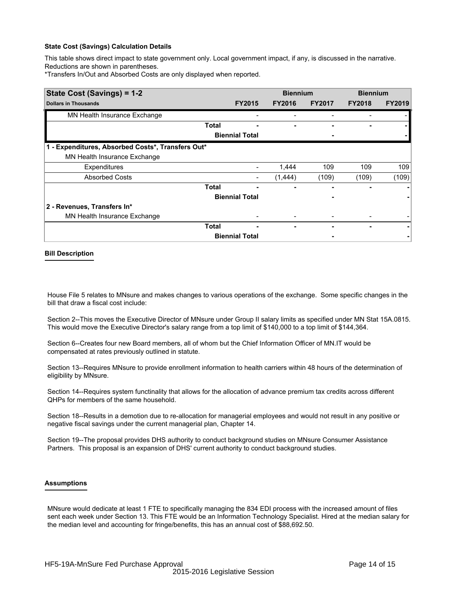This table shows direct impact to state government only. Local government impact, if any, is discussed in the narrative. Reductions are shown in parentheses.

\*Transfers In/Out and Absorbed Costs are only displayed when reported.

| State Cost (Savings) = 1-2                        |                       |                       | <b>Biennium</b> |               | <b>Biennium</b> |               |
|---------------------------------------------------|-----------------------|-----------------------|-----------------|---------------|-----------------|---------------|
| <b>Dollars in Thousands</b>                       |                       | <b>FY2015</b>         | <b>FY2016</b>   | <b>FY2017</b> | <b>FY2018</b>   | <b>FY2019</b> |
| MN Health Insurance Exchange                      |                       |                       |                 |               |                 |               |
|                                                   | Total                 | -                     |                 |               |                 |               |
|                                                   |                       | <b>Biennial Total</b> |                 |               |                 |               |
| 1 - Expenditures, Absorbed Costs*, Transfers Out* |                       |                       |                 |               |                 |               |
| MN Health Insurance Exchange                      |                       |                       |                 |               |                 |               |
| Expenditures                                      |                       |                       | 1.444           | 109           | 109             | 109           |
| <b>Absorbed Costs</b>                             |                       |                       | (1,444)         | (109)         | (109)           | (109)         |
|                                                   | Total                 |                       | -               |               | -               |               |
|                                                   | <b>Biennial Total</b> |                       |                 |               |                 |               |
| 2 - Revenues, Transfers In*                       |                       |                       |                 |               |                 |               |
| MN Health Insurance Exchange                      |                       |                       |                 |               |                 |               |
|                                                   | <b>Total</b>          |                       |                 |               |                 |               |
|                                                   |                       | <b>Biennial Total</b> |                 |               |                 |               |

## **Bill Description**

House File 5 relates to MNsure and makes changes to various operations of the exchange. Some specific changes in the bill that draw a fiscal cost include:

Section 2--This moves the Executive Director of MNsure under Group II salary limits as specified under MN Stat 15A.0815. This would move the Executive Director's salary range from a top limit of \$140,000 to a top limit of \$144,364.

Section 6--Creates four new Board members, all of whom but the Chief Information Officer of MN.IT would be compensated at rates previously outlined in statute.

Section 13--Requires MNsure to provide enrollment information to health carriers within 48 hours of the determination of eligibility by MNsure.

Section 14--Requires system functinality that allows for the allocation of advance premium tax credits across different QHPs for members of the same household.

Section 18--Results in a demotion due to re-allocation for managerial employees and would not result in any positive or negative fiscal savings under the current managerial plan, Chapter 14.

Section 19--The proposal provides DHS authority to conduct background studies on MNsure Consumer Assistance Partners. This proposal is an expansion of DHS' current authority to conduct background studies.

## **Assumptions**

MNsure would dedicate at least 1 FTE to specifically managing the 834 EDI process with the increased amount of files sent each week under Section 13. This FTE would be an Information Technology Specialist. Hired at the median salary for the median level and accounting for fringe/benefits, this has an annual cost of \$88,692.50.